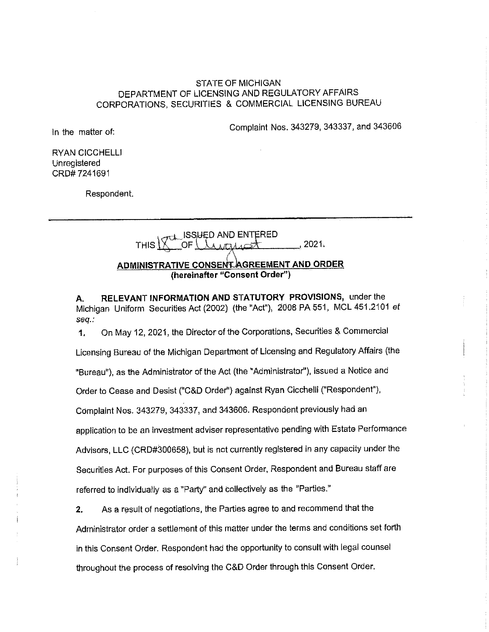# STATE OF MICHIGAN DEPARTMENT OF LICENSING AND REGULATORY AFFAIRS CORPORATIONS, SECURITIES & COMMERCIAL LICENSING BUREAU

Complaint Nos. 343279, 343337, and 343606

In the matter of:

RYAN CICCHELLI Unregistered CRD# 7241691

Respondent.

THIS  $\sqrt{\frac{2}{3}}$  $,2021.$ **ADMINISTRATIVE CONSENT AGREEMENT AND ORDER {hereinafter "Consent Order")** 

**A. RELEVANT INFORMATION AND STATUTORY PROVISIONS,** under the Michigan Uniform Securities Act (2002) (the "Act"), 2008 PA 551, MCL 451.2101 et seq.:

**1.** On May 12, 2021, the Director of the Corporations, Securities & Commercial Licensing Bureau of the Michigan Department of Licensing and Regulatory Affairs (the "Bureau"), as the Administrator of the Act (the "Administrator"), issued a Notice and Order to Cease and Desist ("C&D Order") against Ryan Cicchelli ("Respondent"), Complaint Nos. 343279, 343337, and 343606. Respondent previously had an application to be an investment adviser representative pending with Estate Performance Advisors, LLC (CRD#300658), bui is not currently registered in any capacity under the Securities Act. For purposes of this Consent Order, Respondent and Bureau staff are referred to individually as a "Party" and collectively as the "Parties."

**2.** As a result of negotiations, the Parties agree to and recommend that the Administrator order a settlement of this matter under the terms and conditions set forth in this Consent Order. Respondent had the opportunity to consult with legal counsel throughout the process of resolving the C&D Order through this Consent Order.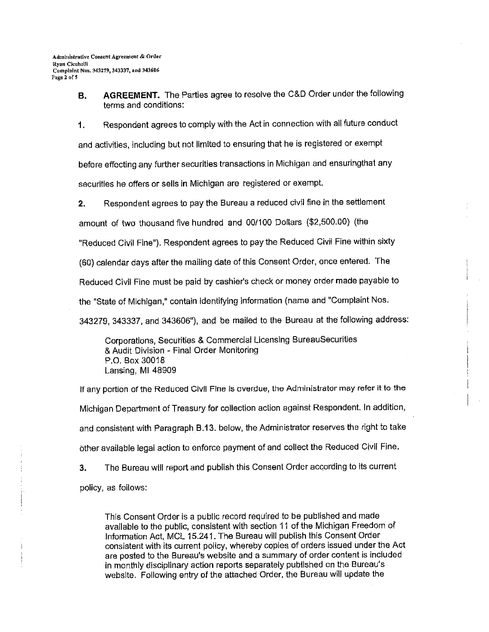**B. AGREEMENT.** The Parties agree to resolve the C&D Order under the following terms and conditions:

**1.** Respondent agrees to comply with the Act in connection with all future conduct and activities, including but not limited to ensuring that he is registered or exempt before effecting any further securities transactions in Michigan and ensuringthat any securities he offers or sells in Michigan are registered or exempt.

**2.** Respondent agrees to pay the Bureau a reduced civil fine in the settlement

amount of two thousand five hundred and 00/100 Dollars (\$2,500.00) (the

"Reduced Civil Fine"). Respondent agrees to pay the Reduced Civil Fine within sixty

(60) calendar days after the mailing date of this Consent Order, once entered. The

Reduced Civil Fine must be paid by cashier's check or money order made payable to

the "State of Michigan," contain identifying information (name and "Complaint Nos.

343279, 343337, and 343606"), and be mailed to the Bureau at the following address:

Corporations, Securities & Commercial Licensing BureauSecurities & Audit Division - Final Order Monitoring P.O. Box 30018 Lansing, Ml 48909

If any portion of the Reduced Civil Fine is overdue, the Administrator may refer it to the Michigan Department of Treasury for collection action against Respondent. In addition, and consistent with Paragraph B.13. below, the Administrator reserves the right to take bther available legal action to enforce payment of and collect the Reduced Civil Fine. **3.** The Bureau will report and publish this Consent Order according to its current

policy, as follows:

This Consent Order is a public record required to be published and made available to the public, consistent with section 11 of the Michigan Freedom of Information Act, MCL 15.241. The Bureau will publish this Consent Order consistent with its current policy, whereby copies of orders issued under the Act are posted to the Bureau's website and a summary of order content is included in monthly disciplinary action reports separately published on the Bureau's website. Following entry of the attached Order, the Bureau will update the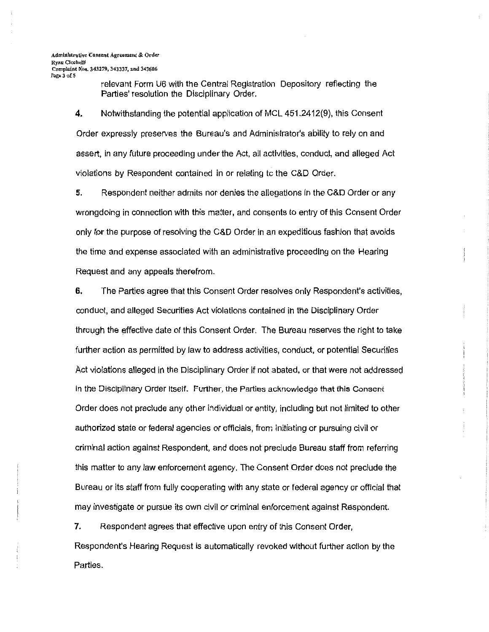relevant Form U6 with the Central Registration Depository reflecting the Parties' resolution the Disciplinary Order.

**4.** Notwithstanding the potential application of MCL 451.2412(9), this Consent Order expressly preserves the Bureau's and Administrator's ability to rely on and assert, in any future proceeding under the Act, all activities, conduct, and alleged Act violations by Respondent contained in or relating le the C&D Order.

**5.** Respondent neither admits nor denies the allegations In the C&D Order or any wrongdoing in connection with this matter, and consents to entry of this Consent Order only for the purpose of resolving the C&D Order in an expeditious fashion that avoids the time and expense associated with an administrative proceeding on the Hearing Request and any appeals therefrom.

**6.** The Parties agree that this Consent Order resolves only Respondent's activities, conduct, and alleged Securities Act violations contained in the Disciplinary Order through the effective date of this Consent Order. The Bureau reserves the right to take further action as permitted by law to address activities, conduct, or potential Securities Act violations alleged in the Disciplinary Order if not abated, or that were not addressed in the Disciplinary Order Itself. Further, the Parties acknowledge that this Consent Order does not preclude any other individual or entity, including but not limited to other authorized state or federal agencies or officials, from initiating or pursuing civil or criminal action against Respondent, and does not preclude Bureau staff from referring this matter to any law enforcement agency. The Consent Order does not preclude the Bureau or its staff from fully cooperating with any state or federal agency or official that may investigate or pursue its own civil or criminal enforcement against Respondent.

7. Respondent agrees that effective upon entry of this Consent Order, Respondent's Hearing Request is automatically revoked without further action by the Parties.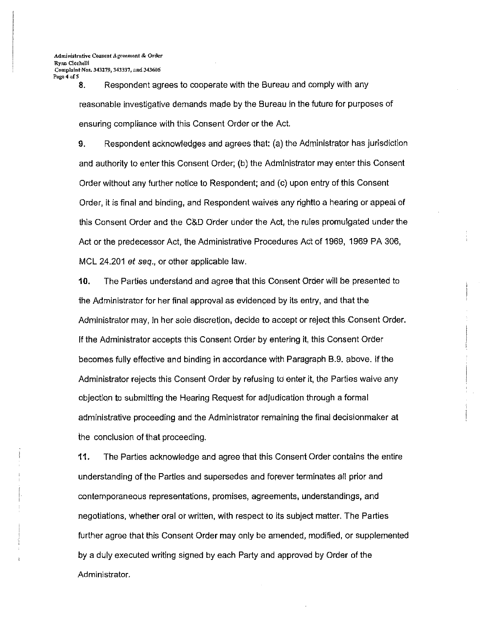8. Respondent agrees to cooperate with the Bureau and comply with any reasonable investigative demands made by the Bureau in the future for purposes of ensuring compliance with this Consent Order or the Act.

9. Respondent acknowledges and agrees that: (a) the Administrator has jurisdiction and authority to enter this Consent Order; (b) the Administrator may enter this Consent Order without any further notice to Respondent; and (c) upon entry of this Consent Order, it is final and binding, and Respondent waives any rightto a hearing or appeal of this Consent Order and the C&D Order under the Act, the rules promulgated under the Act or the predecessor Act, the Administrative Procedures Act of 1969, 1969 PA 306, MCL 24.201 *et seq.,* or other applicable law.

**10.** The Parties understand and agree that this Consent Order will be presented to the Administrator for her final approval as evidenced by its entry, and that the Administrator may, in her sole discretion, decide to accept or reject this Consent Order. If the Administrator accepts this Consent Order by entering it, this Consent Order becomes fully effective and binding in accordance with Paragraph B.9. above. If the Administrator rejects this Consent Order by refusing to enter it, the Parties waive any objection to submitting the Hearing Request for adjudication through a formal administrative proceeding and the Administrator remaining the final decisionmaker at the conclusion of that proceeding.

**11.** The Parties acknowledge and agree that this Consent Order contains the entire understanding of the Parties and supersedes and forever terminates all prior and contemporaneous representations, promises, agreements, understandings, and negotiations, whether oral or written, with respect to its subject matter. The Parties further agree that this Consent Order may only be amended, modified, or supplemented by a duly executed writing signed by each Party and approved by Order of the Administrator.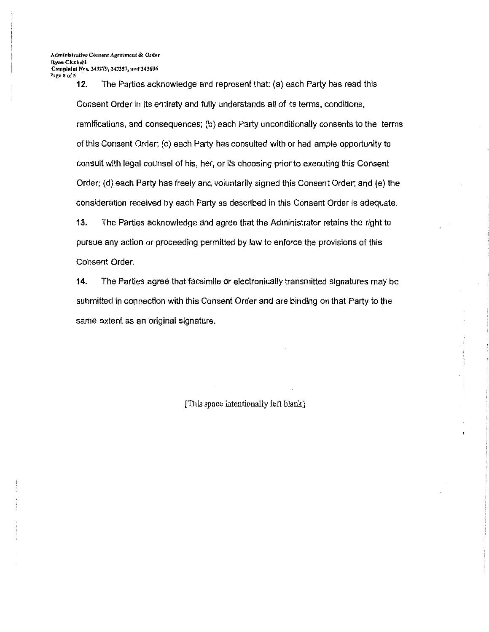**12.** The Parties acknowledge and represent that: (a) each Party has read this Consent Order in its entirety and fully understands all of its terms, conditions, ramifications, and consequences; (b) each Party unconditionally consents to the terms of this Consent Order; ( c) each Party has consulted with or had ample opportunity to consult with legal counsel of his, her, or its choosing prior to executing this Consent Order; (d) each Party has freely and voluntarily signed this Consent Order; and (e) the consideration received by each Party as described in this Consent Order is adequate.

**13.** The Parties acknowledge and agree that the Administrator retains the right to pursue any action or proceeding permitted by law to enforce the provisions of this Consent Order.

**14.** The Parties agree that facsimile or electronically transmitted signatures may be submitted in connection with this Consent Order and are binding on that Party to the same extent as an original signature.

[This space intentionally left blank]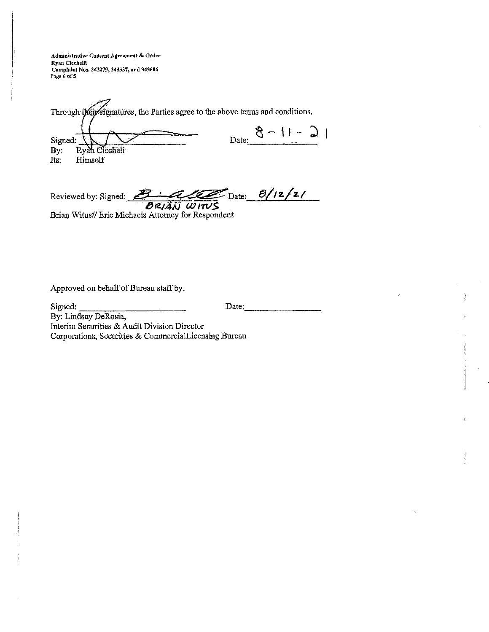Administrative Consent Agreement & Order Ryan Cicchelli Complaint Nos. 343279, 343337, and 343606<br>Page 6 of 5

| Through their signatures, the Parties agree to the above terms and conditions. |                        |  |  |  |
|--------------------------------------------------------------------------------|------------------------|--|--|--|
| Signed:<br>By: $]$<br>Ryan Ciccheli                                            | $ C - 1  - 8$<br>Date: |  |  |  |
| Himself<br>Its:                                                                |                        |  |  |  |

Reviewed by: Signed: <u>2 : 2 1</u> Date:  $\frac{B/12/2}{B R/4N}$  Date:  $\frac{B/12/2}{B R/4N}$ <br>Brian Witus// Eric Michaels Attorney for Respondent

 $\epsilon$ 

 $\ddot{\phantom{0}}$ 

Approved on behalf of Bureau staff by:

Signed: Date: By: Lindsay DeRosia, Interim Securities & Audit Division Director Corporations, Securities & CommercialLicensing Bureau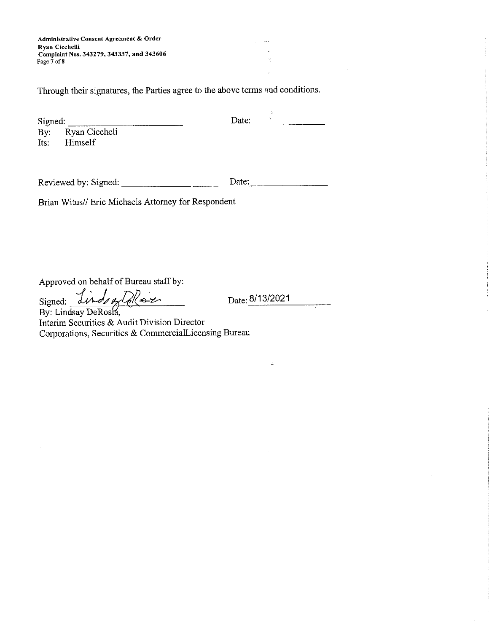**Administrative Consent Agreement & Order Ryan Cicchelli Complaint Nos. 343279, 343337, and 343606 Page 7 of8** 

Through their signatures, the Parties agree to the above terms and conditions.

| Signed: |                   | Date: |  |
|---------|-------------------|-------|--|
|         | By: Ryan Ciccheli |       |  |
| Its:    | Himself           |       |  |

Reviewed by: Signed: \_\_\_\_\_\_ \_ Date: ---------

Brian Witus// Eric Michaels Attorney for Respondent

Approved on behalf of Bureau staff by:

Signed: *<i>dinds of Alle-z* 

Date: 8/13/2021

 $\angle$ 

Interim Securities & Audit Division Director Corporations, Securities & CommercialLicensing Bureau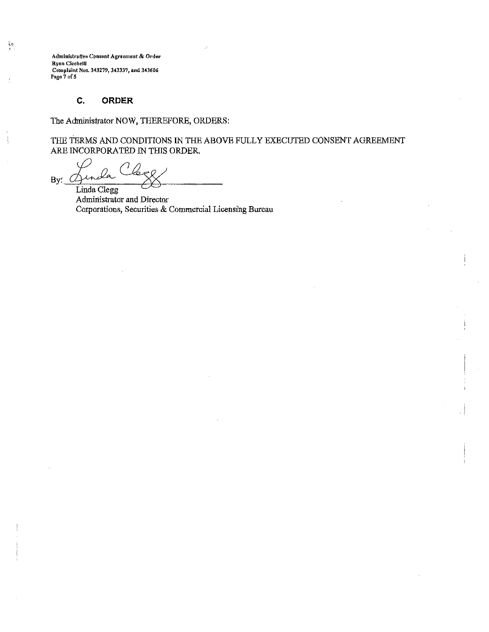Administrative Consent Agreement & Order **Ryan Cicchelli** Complaint Nos. 343279, 343337, and 343606<br>Pago 7 of 5

镍

#### C. **ORDER**

The Administrator NOW, THEREFORE, ORDERS:

THE TERMS AND CONDITIONS IN THE ABOVE FULLY EXECUTED CONSENT AGREEMENT ARE INCORPORATED IN THIS ORDER.

By: Linda Clegg

Administrator and Director Corporations, Securities & Commercial Licensing Bureau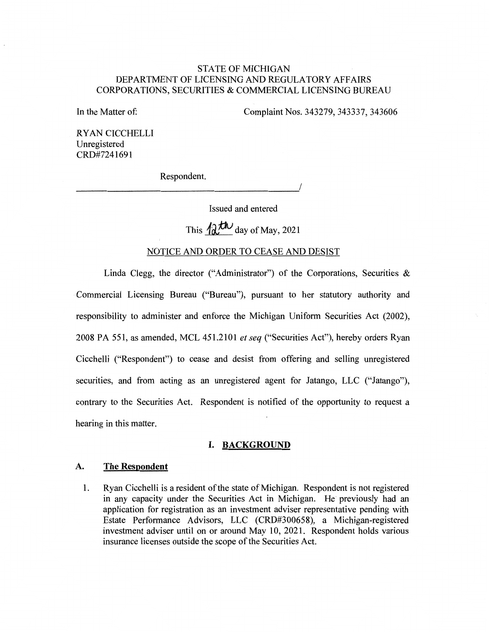# STATE OF MICHIGAN DEPARTMENT OF LICENSING AND REGULATORY AFFAIRS CORPORATIONS, SECURITIES & COMMERCIAL LICENSING BUREAU

In the Matter of:

Complaint Nos. 343279, 343337, 343606

RYAN CICCHELLI Unregistered CRD#7241691

Respondent.

----------------------'/

Issued and entered

This  $42$ <sup>th</sup> day of May, 2021

### NOTICE AND ORDER TO CEASE AND DESIST

Linda Clegg, the director ("Administrator") of the Corporations, Securities  $\&$ Commercial Licensing Bureau ("Bureau"), pursuant to her statutory authority and responsibility to administer and enforce the Michigan Uniform Securities Act (2002), 2008 PA 551, as amended, MCL 451.2101 *et seq* ("Securities Act"), hereby orders Ryan Cicchelli ("Respondent") to cease and desist from offering and selling unregistered securities, and from acting as an unregistered agent for Jatango, LLC ("Jatango"), contrary to the Securities Act. Respondent is notified of the opportunity to request a hearing in this matter.

## **I. BACKGROUND**

#### **A. The Respondent**

1. Ryan Cicchelli is a resident of the state of Michigan. Respondent is not registered in any capacity under the Securities Act in Michigan. He previously had an application for registration as an investment adviser representative pending with Estate Performance Advisors, LLC (CRD#300658), a Michigan-registered investment adviser until on or around May 10, 2021. Respondent holds various insurance licenses outside the scope of the Securities Act.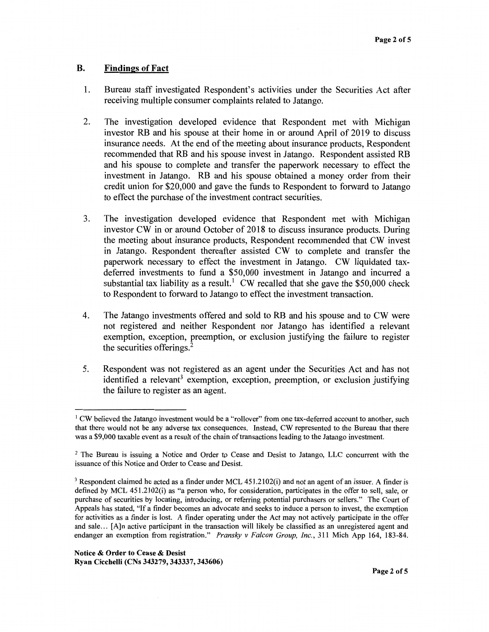## **B. Findings of Fact**

- 1. Bureau staff investigated Respondent's activities under the Securities Act after receiving multiple consumer complaints related to Jatango.
- 2. The investigation developed evidence that Respondent met with Michigan investor RB and his spouse at their home in or around April of 2019 to discuss insurance needs. At the end of the meeting about insurance products, Respondent recommended that RB and his spouse invest in Jatango. Respondent assisted RB and his spouse to complete and transfer the paperwork necessary to effect the investment in Jatango. RB and his spouse obtained a money order from their credit union for \$20,000 and gave the funds to Respondent to forward to Jatango to effect the purchase of the investment contract securities.
- 3. The investigation developed evidence that Respondent met with Michigan investor CW in or around October of 2018 to discuss insurance products. During the meeting about insurance products, Respondent recommended that CW invest in Jatango. Respondent thereafter assisted CW to complete and transfer the paperwork necessary to effect the investment in Jatango. CW liquidated taxdeferred investments to fund a \$50,000 investment in Jatango and incurred a substantial tax liability as a result.<sup>1</sup> CW recalled that she gave the \$50,000 check to Respondent to forward to Jatango to effect the investment transaction.
- 4. The Jatango investments offered and sold to RB and his spouse and to CW were not registered and neither Respondent nor Jatango has identified a relevant exemption, exception, preemption, or exclusion justifying the failure to register the securities offerings.<sup>2</sup>
- 5. Respondent was not registered as an agent under the Securities Act and has not identified a relevant<sup>3</sup> exemption, exception, preemption, or exclusion justifying the failure to register as an agent.

 $1$  CW believed the Jatango investment would be a "rollover" from one tax-deferred account to another, such that there would not be any adverse tax consequences. Instead, CW represented to the Bureau that there was a \$9,000 taxable event as a result of the chain of transactions leading to the Jatango investment.

<sup>2</sup>The Bureau is issuing a Notice and Order *to* Cease and Desist to Jatango, LLC concurrent with the issuance of this Notice and Order to Cease and Desist.

<sup>&</sup>lt;sup>3</sup> Respondent claimed he acted as a finder under MCL 451.2102(i) and not an agent of an issuer. A finder is defined by MCL 451.2102(i) as "a person who, for consideration, participates in the offer to sell, sale, or purchase of securities by locating, introducing, or referring potential purchasers or sellers." The Court of Appeals has stated, "If a finder becomes an advocate and seeks to induce a person to invest, the exemption for activities as a finder is lost. A finder operating under the Act may not actively participate in the offer and sale ... [A]n active participant in the transaction will likely be classified as an unregistered agent and endanger an exemption from registration." *Pransky v Falcon Group, Inc.,* 311 Mich App 164, 183-84.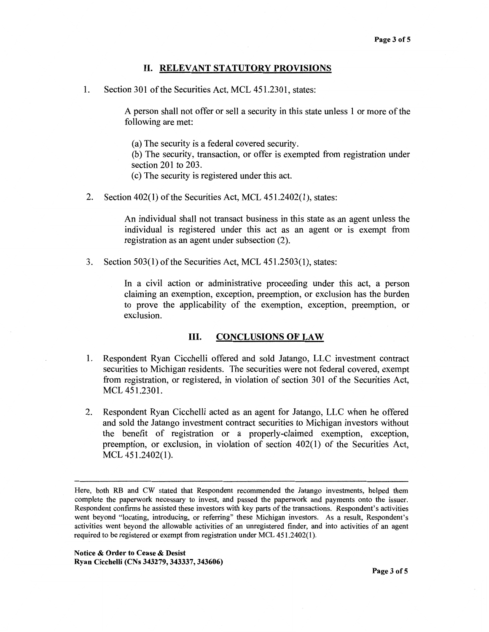#### II. **RELEVANT STATUTORY PROVISIONS**

1. Section 301 of the Securities Act, MCL 451.2301, states:

A person shall not offer or sell a security in this state unless 1 or more of the following are met:

(a) The security is a federal covered security.

(b) The security, transaction, or offer is exempted from registration under section 201 to 203.

( c) The security is registered under this act.

2. Section 402(1) of the Securities Act, MCL 451.2402(1), states:

An individual shall not transact business in this state as an agent unless the individual is registered under this act as an agent or is exempt from registration as an agent under subsection (2).

3. Section 503(1) of the Securities Act, MCL 451.2503(1), states:

In a civil action or administrative proceeding under this act, a person claiming an exemption, exception, preemption, or exclusion has the burden to prove the applicability of the exemption, exception, preemption, or exclusion.

### III. **CONCLUSIONS OF LAW**

- 1. Respondent Ryan Cicchelli offered and sold Jatango, LLC investment contract securities to Michigan residents. The securities were not federal covered, exempt from registration, or registered, in violation of section 301 of the Securities Act, MCL 451.2301.
- 2. Respondent Ryan Cicchelli acted as an agent for Jatango, LLC when he offered and sold the Jatango investment contract securities to Michigan investors without the benefit of registration or a properly-claimed exemption, exception, preemption, or exclusion, in violation of section 402(1) of the Securities Act, MCL 451.2402(1).

Here, both **RB** and CW stated that Respondent recommended the Jatango investments, helped them complete the paperwork necessary to invest, and passed the paperwork and payments onto the issuer. Respondent confirms he assisted these investors with key parts of the transactions. Respondent's activities went beyond "locating, introducing, or referring" these Michigan investors. As a result, Respondent's activities went beyond the allowable activities of an unregistered finder, and into activities of an agent required to be registered or exempt from registration under MCL 451.2402(1 ).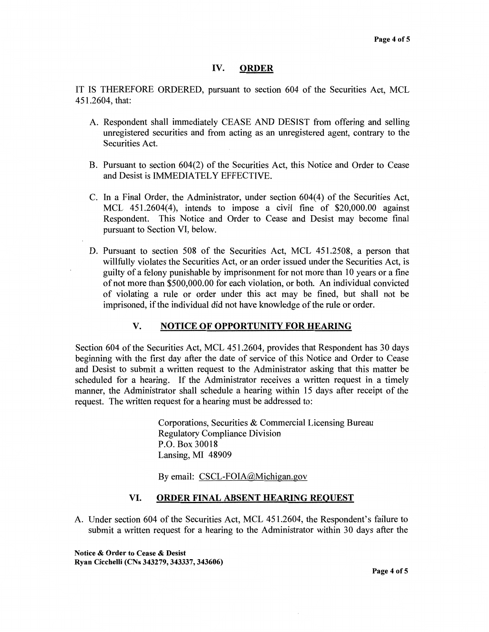## **IV. ORDER**

IT IS THEREFORE ORDERED, pursuant to section 604 of the Securities Act, MCL 451.2604, that:

- A. Respondent shall immediately CEASE AND DESIST from offering and selling unregistered securities and from acting as an unregistered agent, contrary to the Securities Act.
- B. Pursuant to section 604(2) of the Securities Act, this Notice and Order to Cease and Desist is IMMEDIATELY EFFECTIVE.
- C. In a Final Order, the Administrator, under section 604(4) of the Securities Act, MCL 451.2604(4), intends to impose a civil fine of \$20,000.00 against Respondent. This Notice and Order to Cease and Desist may become final pursuant to Section VI, below.
- D. Pursuant to section 508 of the Securities Act, MCL 451.2508, a person that willfully violates the Securities Act, or an order issued under the Securities Act, is guilty of a felony punishable by imprisonment for not more than 10 years or a fine of not more than \$500,000.00 for each violation, or both. An individual convicted of violating a rule or order under this act may be fined, but shall not be imprisoned, if the individual did not have knowledge of the rule or order.

# **V. NOTICE OF OPPORTUNITY FOR HEARING**

Section 604 of the Securities Act, MCL 451.2604, provides that Respondent has 30 days beginning with the first day after the date of service of this Notice and Order to Cease and Desist to submit a written request to the Administrator asking that this matter be scheduled for a hearing. If the Administrator receives a written request in a timely manner, the Administrator shall schedule a hearing within 15 days after receipt of the request. The written request for a hearing must be addressed to:

> Corporations, Securities & Commercial Licensing Bureau Regulatory Compliance Division P.O. Box 30018 Lansing, MI 48909

By email: CSCL-FOIA@Michigan.gov

## **VI. ORDER FINAL ABSENT HEARING REQUEST**

A. Under section 604 of the Securities Act, MCL 451.2604, the Respondent's failure to submit a written request for a hearing to the Administrator within 30 days after the